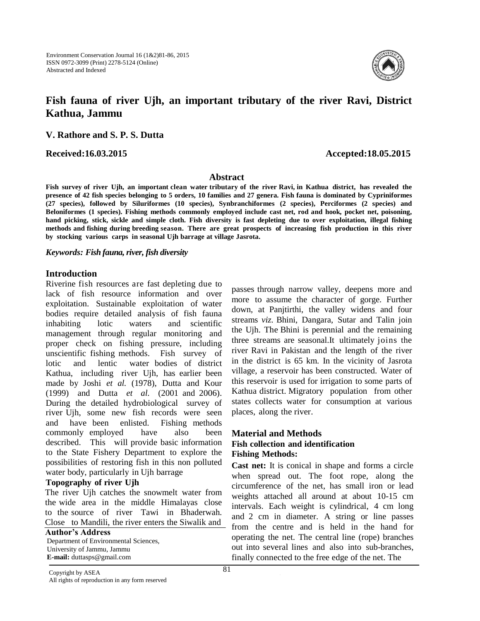

# **Fish fauna of river Ujh, an important tributary of the river Ravi, District Kathua, Jammu**

**V. Rathore and S. P. S. Dutta**

**Received:16.03.2015 Accepted:18.05.2015**

#### **Abstract**

**Fish survey of river Ujh, an important clean water tributary of the river Ravi, in Kathua district, has revealed the**  presence of 42 fish species belonging to 5 orders, 10 families and 27 genera. Fish fauna is dominated by Cypriniformes **(27 species), followed by Siluriformes (10 species), Synbranchiformes (2 species), Perciformes (2 species) and Beloniformes (1 species). Fishing methods commonly employed include cast net, rod and hook, pocket net, poisoning,** hand picking, stick, sickle and simple cloth. Fish diversity is fast depleting due to over exploitation, illegal fishing **methods and fishing during breeding season. There are great prospects of increasing fish production in this river by stocking various carps in seasonal Ujh barrage at village Jasrota.**

*Keywords: Fish fauna, river, fish diversity*

### **Introduction**

Riverine fish resources are fast depleting due to lack of fish resource information and over exploitation. Sustainable exploitation of water bodies require detailed analysis of fish fauna inhabiting lotic waters and scientific management through regular monitoring and proper check on fishing pressure, including unscientific fishing methods. Fish survey of lotic and lentic water bodies of district Kathua, including river Ujh, has earlier been made by Joshi *et al.* (1978), Dutta and Kour (1999) and Dutta *et al.* (2001 and 2006). During the detailed hydrobiological survey of river Ujh, some new fish records were seen and have been enlisted. Fishing methods commonly employed have also been described. This will provide basic information to the State Fishery Department to explore the possibilities of restoring fish in this non polluted water body, particularly in Ujh barrage

### **Topography of river Ujh**

The river Ujh catches the snowmelt water from the wide area in the middle Himalayas close to the source of river Tawi in Bhaderwah. Close to Mandili, the river enters the Siwalik and

#### **Author's Address**

Department of Environmental Sciences, University of Jammu, Jammu **E-mail:** duttasps@gmail.com

passes through narrow valley, deepens more and more to assume the character of gorge. Further down, at Panjtirthi, the valley widens and four streams *viz.* Bhini, Dangara, Sutar and Talin join the Ujh. The Bhini is perennial and the remaining three streams are seasonal.It ultimately joins the river Ravi in Pakistan and the length of the river in the district is 65 km. In the vicinity of Jasrota village, a reservoir has been constructed. Water of this reservoir is used for irrigation to some parts of Kathua district. Migratory population from other states collects water for consumption at various places, along the river.

### **Material and Methods Fish collection and identification Fishing Methods:**

**Cast net:** It is conical in shape and forms a circle when spread out. The foot rope, along the circumference of the net, has small iron or lead weights attached all around at about 10-15 cm intervals. Each weight is cylindrical, 4 cm long and 2 cm in diameter. A string or line passes from the centre and is held in the hand for operating the net. The central line (rope) branches out into several lines and also into sub-branches, finally connected to the free edge of the net. The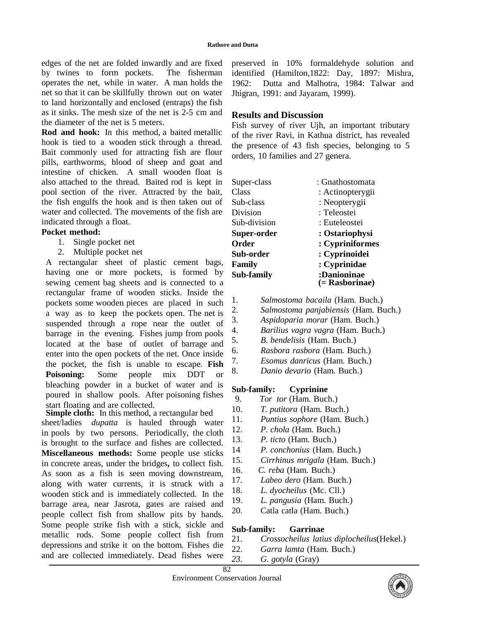edges of the net are folded inwardly and are fixed by twines to form pockets. The fisherman operates the net, while in water. A man holds the net so that it can be skillfully thrown out on water to land horizontally and enclosed (entraps) the fish as it sinks. The mesh size of the net is 2-5 cm and the diameter of the net is 5 meters.

**Rod and hook:** In this method, a baited metallic hook is tied to a wooden stick through a thread. Bait commonly used for attracting fish are flour pills, earthworms, blood of sheep and goat and intestine of chicken. A small wooden float is also attached to the thread. Baited rod is kept in pool section of the river. Attracted by the bait, the fish engulfs the hook and is then taken out of water and collected. The movements of the fish are indicated through a float.

### **Pocket method:**

- 1. Single pocket net
- 2. Multiple pocket net

A rectangular sheet of plastic cement bags, having one or more pockets, is formed by sewing cement bag sheets and is connected to a rectangular frame of wooden sticks. Inside the pockets some wooden pieces are placed in such a way as to keep the pockets open. The net is suspended through a rope near the outlet of barrage in the evening. Fishes jump from pools located at the base of outlet of barrage and enter into the open pockets of the net. Once inside the pocket, the fish is unable to escape. **Fish Poisoning:** Some people mix DDT or bleaching powder in a bucket of water and is poured in shallow pools. After poisoning fishes start floating and are collected.

**Simple cloth:** In this method, a rectangular bed sheet/ladies *dupatta* is hauled through water in pools by two persons. Periodically, the cloth is brought to the surface and fishes are collected. **Miscellaneous methods:** Some people use sticks in concrete areas, under the bridges**,** to collect fish. As soon as a fish is seen moving downstream, along with water currents, it is struck with a wooden stick and is immediately collected. In the barrage area, near Jasrota, gates are raised and people collect fish from shallow pits by hands. Some people strike fish with a stick, sickle and metallic rods. Some people collect fish from depressions and strike it on the bottom. Fishes die and are collected immediately. Dead fishes were

preserved in 10% formaldehyde solution and identified (Hamilton,1822: Day, 1897: Mishra, 1962: Dutta and Malhotra, 1984: Talwar and Jhigran, 1991: and Jayaram, 1999).

## **Results and Discussion**

Fish survey of river Ujh, an important tributary of the river Ravi, in Kathua district, has revealed the presence of 43 fish species, belonging to 5 orders, 10 families and 27 genera.

| Super-class  | : Gnathostomata  |
|--------------|------------------|
| Class        | : Actinopterygii |
| Sub-class    | : Neopterygii    |
| Division     | : Teleostei      |
| Sub-division | : Euteleostei    |
| Super-order  | : Ostariophysi   |
| Order        | : Cypriniformes  |
| Sub-order    | : Cyprinoidei    |
| Family       | : Cyprinidae     |
| Sub-family   | :Danioninae      |
|              | (= Rasborinae)   |

- 1. *Salmostoma bacaila* (Ham. Buch.)
- 2. *Salmostoma panjabiensis* (Ham. Buch.)
- 3. *Aspidoparia morar* (Ham. Buch.)
- 4. *Barilius vagra vagra* (Ham. Buch.)
- 5. *B. bendelisis* (Ham. Buch.)
- 6. *Rasbora rasbora* (Ham. Buch.)
- 7. *Esomus danricus* (Ham. Buch.)
- 8. *Danio devario* (Ham. Buch.)

# **Sub-family: Cyprinine**

- 9. *Tor tor* (Ham. Buch.)
- 10. *T. putitora* (Ham. Buch.)
- 11. *Puntius sophore* (Ham. Buch.)
- 12. *P. chola* (Ham. Buch.)
- 13. *P. ticto* (Ham. Buch.)
- 14 *P. conchonius* (Ham. Buch.)
- 15. *Cirrhinus mrigala* (Ham. Buch.)
- 16. *C. reba* (Ham. Buch.)
- 17. *Labeo dero* (Ham. Buch.)
- 18. *L. dyocheilus* (Mc. Cll.)
- 19. *L. pangusia* (Ham. Buch.)
- 20. Catla catla (Ham. Buch.)

# **Sub-family: Garrinae**

- 21. *Crossocheilus latius diplocheilus*(Hekel.)
- 22. *Garra lamta* (Ham. Buch.)
- *23*. *G. gotyla* (Gray)

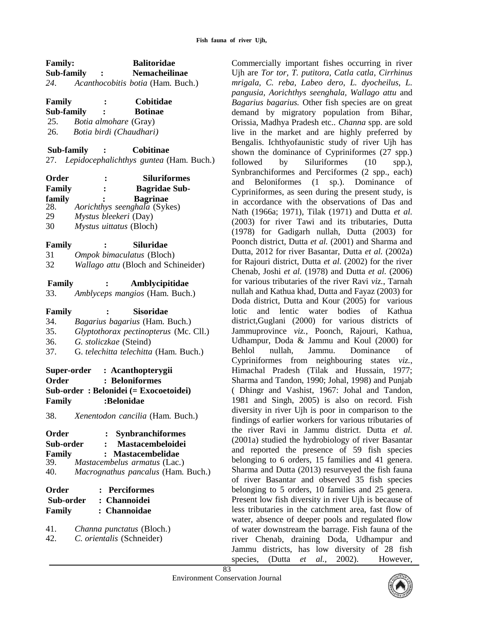| <b>Family:</b>              | <b>Balitoridae</b>                              |
|-----------------------------|-------------------------------------------------|
| Sub-family                  | <b>Nemacheilinae</b><br>$\ddot{\phantom{1}}$    |
|                             | 24. Acanthocobitis botia (Ham. Buch.)           |
| Family                      | Cobitidae                                       |
| Sub-family                  | <b>Botinae</b>                                  |
| 25.                         | Botia almohare (Gray)                           |
| 26.                         | Botia birdi (Chaudhari)                         |
| <b>Sub-family</b>           | Cobitinae                                       |
|                             | 27. Lepidocephalichthys guntea (Ham. Buch.)     |
| Order                       | Siluriformes                                    |
| Family                      | <b>Bagridae Sub-</b>                            |
| family                      | <b>Bagrinae</b>                                 |
| 28.                         | Aorichthys seenghala (Sykes)                    |
| 29                          | Mystus bleekeri (Day)                           |
| 30                          | Mystus uittatus (Bloch)                         |
| <b>Family</b>               | Siluridae                                       |
| 31                          | Ompok bimaculatus (Bloch)                       |
| 32                          | Wallago attu (Bloch and Schineider)             |
| Family                      | Amblycipitidae                                  |
| 33.                         | Amblyceps mangios (Ham. Buch.)                  |
| Family                      | <b>Sisoridae</b>                                |
| 34.                         | Bagarius bagarius (Ham. Buch.)                  |
| 35.                         | Glyptothorax pectinopterus (Mc. Cll.)           |
| 36.                         | G. stoliczkae (Steind)                          |
| 37.                         | G. telechitta telechitta (Ham. Buch.)           |
|                             | Super-order : Acanthopterygii                   |
| Order                       | <b>Beloniformes</b>                             |
|                             | Sub-order: Belonidei (= Exocoetoidei)           |
| Family                      | :Belonidae                                      |
| 38.                         | Xenentodon cancilia (Ham. Buch.)                |
| Order                       | <b>Synbranchiformes</b><br>$\ddot{\phantom{a}}$ |
| Sub-order                   | Mastacembeloidei<br>$\ddot{\cdot}$              |
| Family                      | <b>Mastacembelidae</b>                          |
| 39.                         | Mastacembelus armatus (Lac.)                    |
| 40.                         | Macrognathus pancalus (Ham. Buch.)              |
| Order<br><b>Perciformes</b> |                                                 |
| Sub-order                   | : Channoidei                                    |
| Family                      | : Channoidae                                    |
| 41.                         | Channa punctatus (Bloch.)                       |
| 42.                         | C. orientalis (Schneider)                       |

Commercially important fishes occurring in river Ujh are *Tor tor, T. putitora, Catla catla*, *Cirrhinus mrigala, C. reba, Labeo dero*, *L. dyocheilus, L. pangusia, Aorichthys seenghala, Wallago attu* and *Bagarius bagarius.* Other fish species are on great demand by migratory population from Bihar, Orissia, Madhya Pradesh etc.. *Channa* spp. are sold live in the market and are highly preferred by Bengalis. Ichthyofaunistic study of river Ujh has shown the dominance of Cypriniformes (27 spp.) followed by Siluriformes (10 spp.), Synbranchiformes and Perciformes (2 spp., each) and Beloniformes (1 sp.). Dominance of Cypriniformes, as seen during the present study, is in accordance with the observations of Das and Nath (1966a; 1971), Tilak (1971) and Dutta *et al.* (2003) for river Tawi and its tributaries, Dutta (1978) for Gadigarh nullah, Dutta (2003) for Poonch district, Dutta *et al.* (2001) and Sharma and Dutta, 2012 for river Basantar, Dutta *et al.* (2002a) for Rajouri district, Dutta *et al.* (2002) for the river Chenab, Joshi *et al.* (1978) and Dutta *et al.* (2006) for various tributaries of the river Ravi *viz.*, Tarnah nullah and Kathua khad, Dutta and Fayaz (2003) for Doda district, Dutta and Kour (2005) for various lotic and lentic water bodies of Kathua district,Guglani (2000) for various districts of Jammuprovince *viz.*, Poonch, Rajouri, Kathua, Udhampur, Doda & Jammu and Koul (2000) for Behlol nullah, Jammu. Dominance of Cypriniformes from neighbouring states *viz.*, Himachal Pradesh (Tilak and Hussain, 1977; Sharma and Tandon, 1990; Johal, 1998) and Punjab ( Dhingr and Vashist, 1967: Johal and Tandon, 1981 and Singh, 2005) is also on record. Fish diversity in river Ujh is poor in comparison to the findings of earlier workers for various tributaries of the river Ravi in Jammu district. Dutta *et al.*  (2001a) studied the hydrobiology of river Basantar and reported the presence of 59 fish species belonging to 6 orders, 15 families and 41 genera. Sharma and Dutta (2013) resurveyed the fish fauna of river Basantar and observed 35 fish species belonging to 5 orders, 10 families and 25 genera. Present low fish diversity in river Ujh is because of less tributaries in the catchment area, fast flow of water, absence of deeper pools and regulated flow of water downstream the barrage. Fish fauna of the river Chenab, draining Doda, Udhampur and Jammu districts, has low diversity of 28 fish species, (Dutta *et al.,* 2002). However,

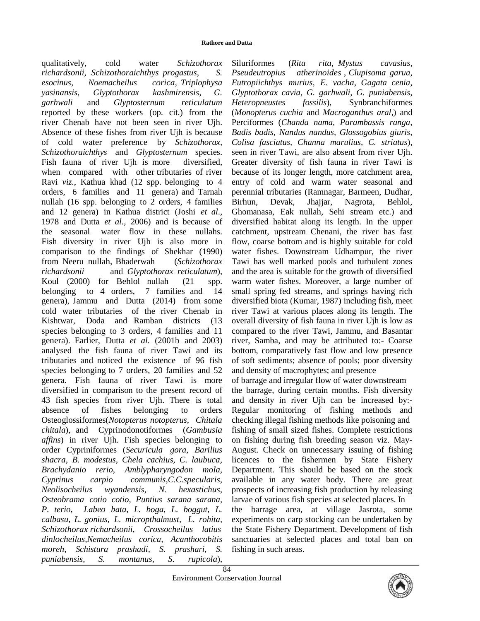#### **Rathore and Dutta**

qualitatively, cold water *Schizothorax richardsonii, Schizothoraichthys progastus, S. esocinus, Noemacheilus corica, Triplophysa yasinansis, Glyptothorax kashmirensis, G. garhwali* and *Glyptosternum reticulatum*  reported by these workers (op. cit.) from the river Chenab have not been seen in river Ujh. Absence of these fishes from river Ujh is because of cold water preference by *Schizothorax, Schizothoraichthys* and *Glyptosternum* species. Fish fauna of river Ujh is more diversified, when compared with other tributaries of river Ravi *viz.*, Kathua khad (12 spp. belonging to 4 orders, 6 families and 11 genera) and Tarnah nullah (16 spp. belonging to 2 orders, 4 families and 12 genera) in Kathua district (Joshi *et al*., 1978 and Dutta *et al.*, 2006) and is because of the seasonal water flow in these nullahs. Fish diversity in river Ujh is also more in comparison to the findings of Shekhar (1990) from Neeru nullah, Bhaderwah (*Schizothorax richardsonii* and *Glyptothorax reticulatum*), Koul (2000) for Behlol nullah (21 spp. belonging to 4 orders, 7 families and 14 genera), Jammu and Dutta (2014) from some cold water tributaries of the river Chenab in Kishtwar, Doda and Ramban districts (13 species belonging to 3 orders, 4 families and 11 genera). Earlier, Dutta *et al.* (2001b and 2003) analysed the fish fauna of river Tawi and its tributaries and noticed the existence of 96 fish species belonging to 7 orders, 20 families and 52 genera. Fish fauna of river Tawi is more diversified in comparison to the present record of 43 fish species from river Ujh. There is total absence of fishes belonging to orders Osteoglossiformes(*Notopterus notopterus, Chitala chitala*), and Cyprinodonotiformes (*Gambusia affins*) in river Ujh. Fish species belonging to order Cypriniformes (*Securicula gora, Barilius shacra, B. modestus, Chela cachius, C. laubuca, Brachydanio rerio, Amblypharyngodon mola, Cyprinus carpio communis,C.C.specularis, Neolisocheilus wyandensis, N. hexastichus, Osteobrama cotio cotio, Puntius sarana sarana, P. terio, Labeo bata, L. boga, L. boggut, L. calbasu, L. gonius, L. micropthalmust, L. rohita, Schizothorax richardsonii, Crossocheilus latius dinlocheilus,Nemacheilus corica, Acanthocobitis moreh, Schistura prashadi, S. prashari, S. puniabensis, S. montanus, S. rupicola*),

Siluriformes (*Rita rita, Mystus cavasius, Pseudeutropius atherinoides , Clupisoma garua, Eutropiichthys murius, E. vacha, Gagata cenia, Glyptothorax cavia, G. garhwali, G. puniabensis, Heteropneustes fossilis*), Synbranchiformes (*Monopterus cuchia* and *Macroganthus aral,*) and Perciformes (*Chanda nama, Parambassis ranga, Badis badis, Nandus nandus, Glossogobius giuris, Colisa fasciatus, Channa marulius, C. striatus*), seen in river Tawi, are also absent from river Ujh. Greater diversity of fish fauna in river Tawi is because of its longer length, more catchment area, entry of cold and warm water seasonal and perennial tributaries (Ramnagar, Barmeen, Dudhar, Birhun, Devak, Jhajjar, Nagrota, Behlol, Ghomanasa, Eak nullah, Sehi stream etc.) and diversified habitat along its length. In the upper catchment, upstream Chenani, the river has fast flow, coarse bottom and is highly suitable for cold water fishes. Downstream Udhampur, the river Tawi has well marked pools and turbulent zones and the area is suitable for the growth of diversified warm water fishes. Moreover, a large number of small spring fed streams, and springs having rich diversified biota (Kumar, 1987) including fish, meet river Tawi at various places along its length. The overall diversity of fish fauna in river Ujh is low as compared to the river Tawi, Jammu, and Basantar river, Samba, and may be attributed to:- Coarse bottom, comparatively fast flow and low presence of soft sediments; absence of pools; poor diversity and density of macrophytes; and presence

of barrage and irregular flow of water downstream the barrage, during certain months. Fish diversity and density in river Ujh can be increased by:- Regular monitoring of fishing methods and checking illegal fishing methods like poisoning and fishing of small sized fishes. Complete restrictions on fishing during fish breeding season viz. May-August. Check on unnecessary issuing of fishing licences to the fishermen by State Fishery Department. This should be based on the stock available in any water body. There are great prospects of increasing fish production by releasing larvae of various fish species at selected places. In the barrage area, at village Jasrota, some experiments on carp stocking can be undertaken by the State Fishery Department. Development of fish sanctuaries at selected places and total ban on fishing in such areas.

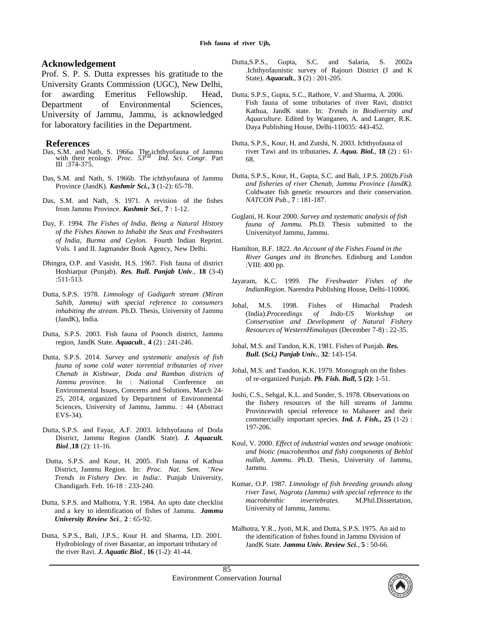#### **Acknowledgement**

Prof. S. P. S. Dutta expresses his gratitude to the University Grants Commission (UGC), New Delhi, for awarding Emeritus Fellowship. Head, Department of Environmental Sciences, University of Jammu, Jammu, is acknowledged for laboratory facilities in the Department.

#### **References**

- Das, S.M. and Nath, S. 1966a. The ichthyofauna of Jammu with their ecology. *Proc. 53 rd Ind. Sci. Congr.* Part III :374-375.
- Das, S.M. and Nath, S. 1966b. The ichthyofauna of Jammu Province (JandK). *Kashmir Sci.***, 3** (1-2): 65-78.
- Das, S.M. and Nath, S. 1971. A revision of the fishes from Jammu Province. *Kashmir Sci.*, **7** : 1-12.
- Day, F. 1994. *The Fishes of India, Being a Natural History of the Fishes Known to Inhabit the Seas and Freshwaters of India, Burma and Ceylon*. Fourth Indian Reprint. Vols. I and II. Jagmander Book Agency, New Delhi.
- Dhingra, O.P. and Vasisht, H.S. 1967. Fish fauna of district Hoshiarpur (Punjab). *Res. Bull. Panjab Univ.*, **18** (3-4) :511-513.
- Dutta, S.P.S. 1978. *Limnology of Gadigarh stream (Miran Sahib, Jammu) with special reference to consumers inhabiting the stream*. Ph.D. Thesis, University of Jammu (JandK), India.
- Dutta, S.P.S. 2003. Fish fauna of Poonch district, Jammu region, JandK State. *Aquacult.*, **4** (2) : 241-246.
- Dutta, S.P.S. 2014. *Survey and systematic analysis of fish fauna of some cold water torrential tributaries of river Chenab in Kishtwar, Doda and Ramban districts of Jammu provinc*e. In : National Conference on Environmental Issues, Concerns and Solutions, March 24- 25, 2014, organized by Department of Environmental Sciences, University of Jammu, Jammu. : 44 (Abstract EVS-34).
- Dutta, S.P.S. and Fayaz, A.F. 2003. Ichthyofauna of Doda District, Jammu Region (JandK State). *J. Aquacult. Biol.*,**18** (2): 11-16.
- Dutta, S.P.S. and Kour, H. 2005. Fish fauna of Kathua District, Jammu Region. In: *Proc. Nat. Sem. "New Trends in Fishery Dev. in India:.* Punjab University, Chandigarh. Feb. 16-18 : 233-240.
- Dutta, S.P.S. and Malhotra, Y.R. 1984. An upto date checklist and a key to identification of fishes of Jammu. *Jammu University Review Sci.*, **2** : 65-92.
- Dutta, S.P.S., Bali, J.P.S., Kour H. and Sharma, I.D. 2001. Hydrobiology of river Basantar, an important tributary of the river Ravi. *J. Aquatic Biol.*, **16** (1-2): 41-44.
- Dutta,S.P.S., Gupta, S.C. and Salaria, S. 2002a .Ichthyofaunistic survey of Rajouri District (J and K State). *Aquacult.*, **3** (2) : 201-205.
- Dutta, S.P.S., Gupta, S.C., Rathore, V. and Sharma, A. 2006. Fish fauna of some tributaries of river Ravi, district Kathua, JandK state. In: *Trends in Biodiversity and Aquaculture.* Edited by Wanganeo, A. and Langer, R.K. Daya Publishing House, Delhi-110035: 443-452.
- Dutta, S.P.S., Kour, H. and Zutshi, N. 2003. Ichthyofauna of river Tawi and its tributaries**.** *J. Aqua. Biol.*, **18** (2) : 61- 68.
- Dutta, S.P.S., Kour, H., Gupta, S.C. and Bali, J.P.S. 2002b.*Fish and fisheries of river Chenab, Jammu Province (JandK).*  Coldwater fish genetic resources and their conservation. *NATCON Pub.*, **7** : 181-187.
- Guglani, H. Kour 2000. *Survey and systematic analysis of fish fauna of Jammu.* Ph.D. Thesis submitted to the Universityof Jammu, Jammu.
- Hamilton, B.F. 1822. *An Account of the Fishes Found in the River Ganges and its Branches*. Edinburg and London :VIII: 400 pp.
- Jayaram, K.C. 1999. *The Freshwater Fishes of the IndianRegion*. Narendra Publishing House, Delhi-110006.
- Johal, M.S. 1998. Fishes of Himachal Pradesh (India).*Proceedings of Indo-US Workshop on Conservation and Development of Natural Fishery Resources of WesternHimalayas* (December 7-8) : 22-35.
- Johal, M.S. and Tandon, K.K. 1981. Fishes of Punjab. *Res. Bull.* **(***Sci.) Panjab Univ.*, **32**: 143-154.
- Johal, M.S. and Tandon, K.K. 1979. Monograph on the fishes of re-organized Punjab. *Pb. Fish. Bull,* **5 (2)**: 1-51.
- Joshi, C.S., Sehgal, K.L. and Sunder, S. 1978. Observations on the fishery resources of the hill streams of Jammu Provincewith special reference to Mahaseer and their commercially important species. *Ind. J. Fish.***, 25** (1-2) : 197-206.
- Koul, V. 2000. *Effect of industrial wastes and sewage onabiotic and biotic (macrobenthos and fish) components of Behlol nullah, Jammu*. Ph.D. Thesis, University of Jammu, Jammu.
- Kumar, O.P. 1987. *Limnology of fish breeding grounds along river Tawi, Nagrota (Jammu) with special reference to the macrobenthic invertebrates*. M.Phil.Dissertation, University of Jammu, Jammu.
- Malhotra, Y.R., Jyoti, M.K. and Dutta, S.P.S. 1975. An aid to the identification of fishes found in Jammu Division of JandK State. *Jammu Univ. Review Sci.*, **5** : 50-66.